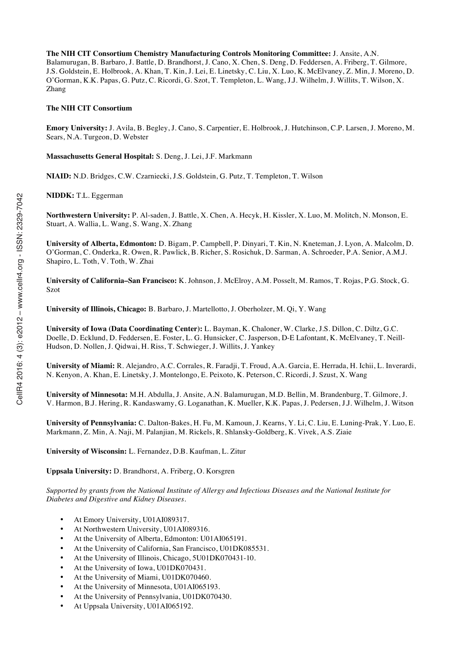**The NIH CIT Consortium Chemistry Manufacturing Controls Monitoring Committee:** J. Ansite, A.N. Balamurugan, B. Barbaro, J. Battle, D. Brandhorst, J. Cano, X. Chen, S. Deng, D. Feddersen, A. Friberg, T. Gilmore, J.S. Goldstein, E. Holbrook, A. Khan, T. Kin, J. Lei, E. Linetsky, C. Liu, X. Luo, K. McElvaney, Z. Min, J. Moreno, D. O'Gorman, K.K. Papas, G. Putz, C. Ricordi, G. Szot, T. Templeton, L. Wang, J.J. Wilhelm, J. Willits, T. Wilson, X. Zhang

#### **The NIH CIT Consortium**

**Emory University:** J. Avila, B. Begley, J. Cano, S. Carpentier, E. Holbrook, J. Hutchinson, C.P. Larsen, J. Moreno, M. Sears, N.A. Turgeon, D. Webster

**Massachusetts General Hospital:** S. Deng, J. Lei, J.F. Markmann

**NIAID:** N.D. Bridges, C.W. Czarniecki, J.S. Goldstein, G. Putz, T. Templeton, T. Wilson

**NIDDK:** T.L. Eggerman

**Northwestern University:** P. Al-saden, J. Battle, X. Chen, A. Hecyk, H. Kissler, X. Luo, M. Molitch, N. Monson, E. Stuart, A. Wallia, L. Wang, S. Wang, X. Zhang

**University of Alberta, Edmonton:** D. Bigam, P. Campbell, P. Dinyari, T. Kin, N. Kneteman, J. Lyon, A. Malcolm, D. O'Gorman, C. Onderka, R. Owen, R. Pawlick, B. Richer, S. Rosichuk, D. Sarman, A. Schroeder, P.A. Senior, A.M.J. Shapiro, L. Toth, V. Toth, W. Zhai

**University of California–San Francisco:** K. Johnson, J. McElroy, A.M. Posselt, M. Ramos, T. Rojas, P.G. Stock, G. Szot

**University of Illinois, Chicago:** B. Barbaro, J. Martellotto, J. Oberholzer, M. Qi, Y. Wang

**University of Iowa (Data Coordinating Center):** L. Bayman, K. Chaloner, W. Clarke, J.S. Dillon, C. Diltz, G.C. Doelle, D. Ecklund, D. Feddersen, E. Foster, L. G. Hunsicker, C. Jasperson, D-E Lafontant, K. McElvaney, T. Neill-Hudson, D. Nollen, J. Qidwai, H. Riss, T. Schwieger, J. Willits, J. Yankey

**University of Miami:** R. Alejandro, A.C. Corrales, R. Faradji, T. Froud, A.A. Garcia, E. Herrada, H. Ichii, L. Inverardi, N. Kenyon, A. Khan, E. Linetsky, J. Montelongo, E. Peixoto, K. Peterson, C. Ricordi, J. Szust, X. Wang

**University of Minnesota:** M.H. Abdulla, J. Ansite, A.N. Balamurugan, M.D. Bellin, M. Brandenburg, T. Gilmore, J. V. Harmon, B.J. Hering, R. Kandaswamy, G. Loganathan, K. Mueller, K.K. Papas, J. Pedersen, J.J. Wilhelm, J. Witson

**University of Pennsylvania:** C. Dalton-Bakes, H. Fu, M. Kamoun, J. Kearns, Y. Li, C. Liu, E. Luning-Prak, Y. Luo, E. Markmann, Z. Min, A. Naji, M. Palanjian, M. Rickels, R. Shlansky-Goldberg, K. Vivek, A.S. Ziaie

**University of Wisconsin:** L. Fernandez, D.B. Kaufman, L. Zitur

**Uppsala University:** D. Brandhorst, A. Friberg, O. Korsgren

*Supported by grants from the National Institute of Allergy and Infectious Diseases and the National Institute for Diabetes and Digestive and Kidney Diseases.*

- At Emory University, U01AI089317.
- At Northwestern University, U01AI089316.
- At the University of Alberta, Edmonton: U01AI065191.
- At the University of California, San Francisco, U01DK085531.
- At the University of Illinois, Chicago, 5U01DK070431-10.
- At the University of Iowa, U01DK070431.
- At the University of Miami, U01DK070460.
- At the University of Minnesota, U01AI065193.
- At the University of Pennsylvania, U01DK070430.
- At Uppsala University, U01AI065192.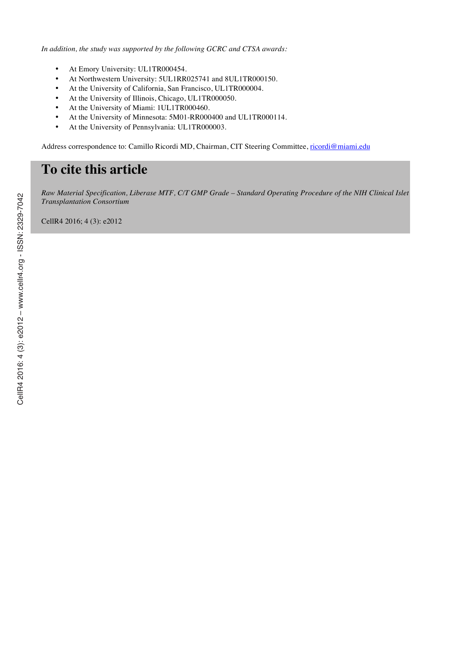*In addition, the study was supported by the following GCRC and CTSA awards:*

- At Emory University: UL1TR000454.
- At Northwestern University: 5UL1RR025741 and 8UL1TR000150.
- At the University of California, San Francisco, UL1TR000004.
- At the University of Illinois, Chicago, UL1TR000050.
- At the University of Miami: 1UL1TR000460.
- At the University of Minnesota: 5M01-RR000400 and UL1TR000114.
- At the University of Pennsylvania: UL1TR000003.

Address correspondence to: Camillo Ricordi MD, Chairman, CIT Steering Committee, ricordi@miami.edu

# **To cite this article**

*Raw Material Specification, Liberase MTF, C/T GMP Grade – Standard Operating Procedure of the NIH Clinical Islet Transplantation Consortium*

CellR4 2016; 4 (3): e2012